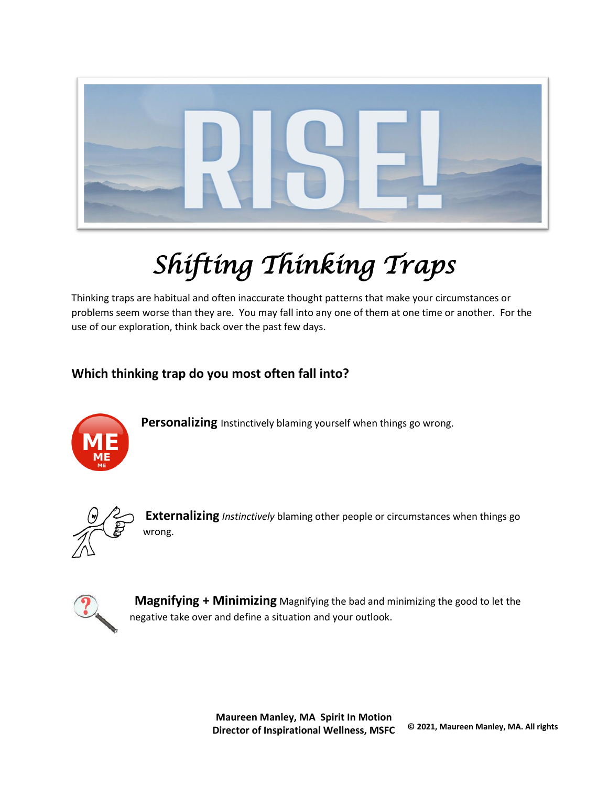

# *Shifting Thinking Traps*

Thinking traps are habitual and often inaccurate thought patterns that make your circumstances or problems seem worse than they are. You may fall into any one of them at one time or another. For the use of our exploration, think back over the past few days.

# **Which thinking trap do you most often fall into?**



**Personalizing** Instinctively blaming yourself when things go wrong.



**Externalizing** *Instinctively* blaming other people or circumstances when things go wrong.



 **Magnifying + Minimizing** Magnifying the bad and minimizing the good to let the negative take over and define a situation and your outlook.

> **Maureen Manley, MA Spirit In Motion Director of Inspirational Wellness, MSFC © 2021, Maureen Manley, MA. All rights**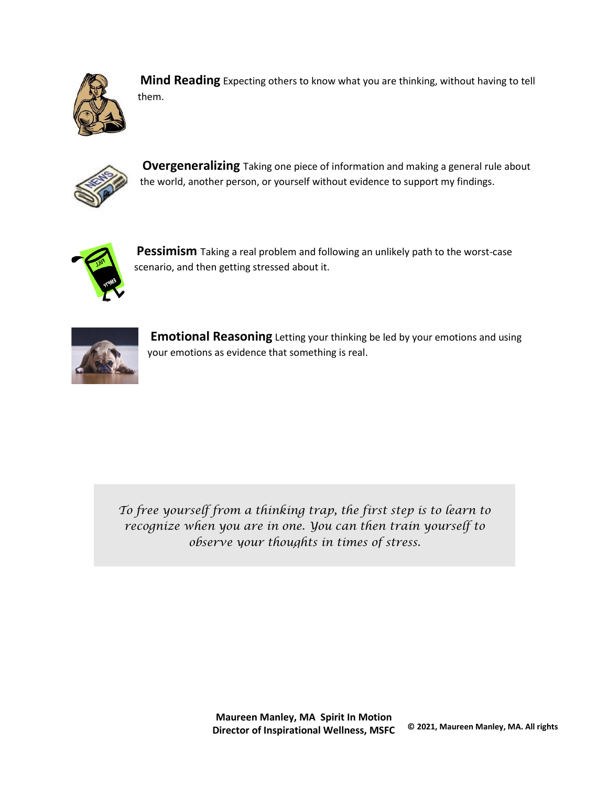

**Mind Reading** Expecting others to know what you are thinking, without having to tell them.



**Overgeneralizing** Taking one piece of information and making a general rule about the world, another person, or yourself without evidence to support my findings.



**Pessimism** Taking a real problem and following an unlikely path to the worst-case scenario, and then getting stressed about it.



**Emotional Reasoning** Letting your thinking be led by your emotions and using your emotions as evidence that something is real.

*To free yourself from a thinking trap, the first step is to learn to recognize when you are in one. You can then train yourself to observe your thoughts in times of stress.*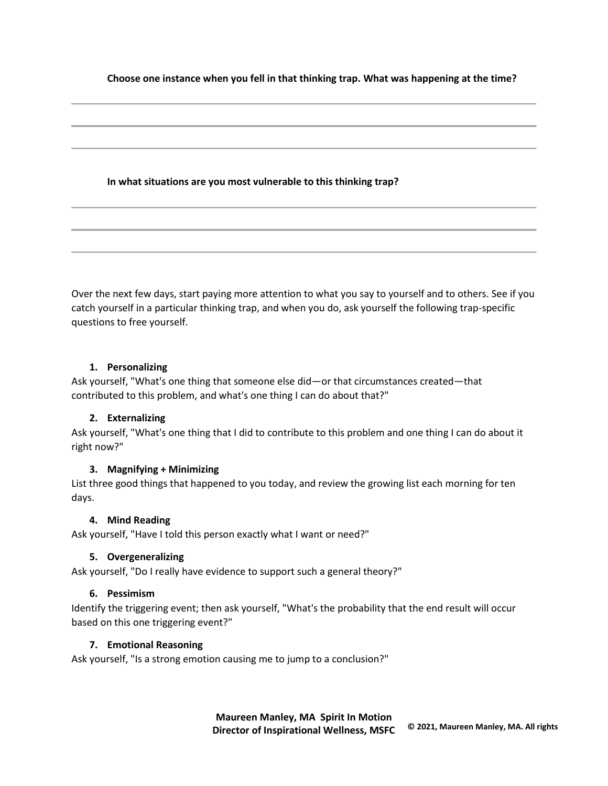**Choose one instance when you fell in that thinking trap. What was happening at the time?**

## **In what situations are you most vulnerable to this thinking trap?**

Over the next few days, start paying more attention to what you say to yourself and to others. See if you catch yourself in a particular thinking trap, and when you do, ask yourself the following trap-specific questions to free yourself.

#### **1. Personalizing**

Ask yourself, "What's one thing that someone else did—or that circumstances created—that contributed to this problem, and what's one thing I can do about that?"

## **2. Externalizing**

Ask yourself, "What's one thing that I did to contribute to this problem and one thing I can do about it right now?"

## **3. Magnifying + Minimizing**

List three good things that happened to you today, and review the growing list each morning for ten days.

#### **4. Mind Reading**

Ask yourself, "Have I told this person exactly what I want or need?"

## **5. Overgeneralizing**

Ask yourself, "Do I really have evidence to support such a general theory?"

## **6. Pessimism**

Identify the triggering event; then ask yourself, "What's the probability that the end result will occur based on this one triggering event?"

## **7. Emotional Reasoning**

Ask yourself, "Is a strong emotion causing me to jump to a conclusion?"

**Maureen Manley, MA Spirit In Motion Director of Inspirational Wellness, MSFC © 2021, Maureen Manley, MA. All rights**